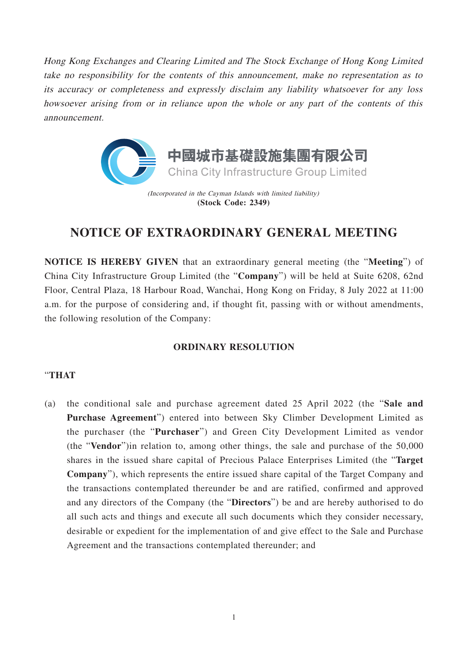Hong Kong Exchanges and Clearing Limited and The Stock Exchange of Hong Kong Limited take no responsibility for the contents of this announcement, make no representation as to its accuracy or completeness and expressly disclaim any liability whatsoever for any loss howsoever arising from or in reliance upon the whole or any part of the contents of this announcement.



# **NOTICE OF EXTRAORDINARY GENERAL MEETING**

**NOTICE IS HEREBY GIVEN** that an extraordinary general meeting (the "**Meeting**") of China City Infrastructure Group Limited (the "**Company**") will be held at Suite 6208, 62nd Floor, Central Plaza, 18 Harbour Road, Wanchai, Hong Kong on Friday, 8 July 2022 at 11:00 a.m. for the purpose of considering and, if thought fit, passing with or without amendments, the following resolution of the Company:

### **ORDINARY RESOLUTION**

### "**THAT**

(a) the conditional sale and purchase agreement dated 25 April 2022 (the "**Sale and Purchase Agreement**") entered into between Sky Climber Development Limited as the purchaser (the "**Purchaser**") and Green City Development Limited as vendor (the "**Vendor**")in relation to, among other things, the sale and purchase of the 50,000 shares in the issued share capital of Precious Palace Enterprises Limited (the "**Target Company**"), which represents the entire issued share capital of the Target Company and the transactions contemplated thereunder be and are ratified, confirmed and approved and any directors of the Company (the "**Directors**") be and are hereby authorised to do all such acts and things and execute all such documents which they consider necessary, desirable or expedient for the implementation of and give effect to the Sale and Purchase Agreement and the transactions contemplated thereunder; and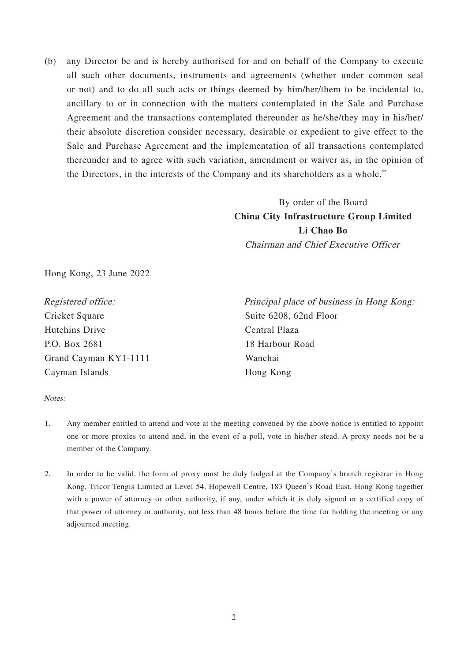(b) any Director be and is hereby authorised for and on behalf of the Company to execute all such other documents, instruments and agreements (whether under common seal or not) and to do all such acts or things deemed by him/her/them to be incidental to, ancillary to or in connection with the matters contemplated in the Sale and Purchase Agreement and the transactions contemplated thereunder as he/she/they may in his/her/ their absolute discretion consider necessary, desirable or expedient to give effect to the Sale and Purchase Agreement and the implementation of all transactions contemplated thereunder and to agree with such variation, amendment or waiver as, in the opinion of the Directors, in the interests of the Company and its shareholders as a whole."

## By order of the Board **China City Infrastructure Group Limited Li Chao Bo** Chairman and Chief Executive Officer

Hong Kong, 23 June 2022

Registered office: Cricket Square Hutchins Drive P.O. Box 2681 Grand Cayman KY1-1111 Cayman Islands

Principal place of business in Hong Kong: Suite 6208, 62nd Floor Central Plaza 18 Harbour Road Wanchai Hong Kong

#### Notes:

- 1. Any member entitled to attend and vote at the meeting convened by the above notice is entitled to appoint one or more proxies to attend and, in the event of a poll, vote in his/her stead. A proxy needs not be a member of the Company.
- 2. In order to be valid, the form of proxy must be duly lodged at the Company's branch registrar in Hong Kong, Tricor Tengis Limited at Level 54, Hopewell Centre, 183 Queen's Road East, Hong Kong together with a power of attorney or other authority, if any, under which it is duly signed or a certified copy of that power of attorney or authority, not less than 48 hours before the time for holding the meeting or any adjourned meeting.